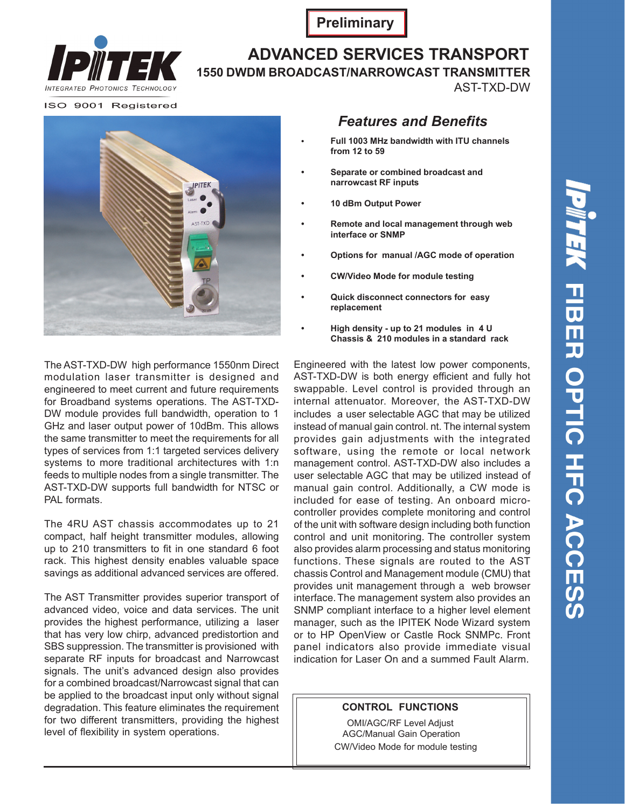

**Preliminary**

### **ADVANCED SERVICES TRANSPORT 1550 DWDM BROADCAST/NARROWCAST TRANSMITTER**

AST-TXD-DW

ISO 9001 Registered



The AST-TXD-DW high performance 1550nm Direct modulation laser transmitter is designed and engineered to meet current and future requirements for Broadband systems operations. The AST-TXD-DW module provides full bandwidth, operation to 1 GHz and laser output power of 10dBm. This allows the same transmitter to meet the requirements for all types of services from 1:1 targeted services delivery systems to more traditional architectures with 1:n feeds to multiple nodes from a single transmitter. The AST-TXD-DW supports full bandwidth for NTSC or PAL formats.

The 4RU AST chassis accommodates up to 21 compact, half height transmitter modules, allowing up to 210 transmitters to fit in one standard 6 foot rack. This highest density enables valuable space savings as additional advanced services are offered.

The AST Transmitter provides superior transport of advanced video, voice and data services. The unit provides the highest performance, utilizing a laser that has very low chirp, advanced predistortion and SBS suppression. The transmitter is provisioned with separate RF inputs for broadcast and Narrowcast signals. The unit's advanced design also provides for a combined broadcast/Narrowcast signal that can be applied to the broadcast input only without signal degradation. This feature eliminates the requirement for two different transmitters, providing the highest level of flexibility in system operations.

## *Features and Benefits*

- **• Full 1003 MHz bandwidth with ITU channels from 12 to 59**
- **Separate or combined broadcast and narrowcast RF inputs**
- **10 dBm Output Power**
- **Remote and local management through web interface or SNMP**
- **Options for manual /AGC mode of operation**
- **CW/Video Mode for module testing**
- **Quick disconnect connectors for easy replacement**
- **High density up to 21 modules in 4 U Chassis & 210 modules in a standard rack**

includes a user selectable AGC that may be utilized instead of manual gain control. nt. The internal system provides gain adjustments with the integrated software, using the remote or local network management control. AST-TXD-DW also includes a user selectable AGC that may be utilized instead of manual gain control. Additionally, a CW mode is included for ease of testing. An onboard microcontroller provides complete monitoring and control of the unit with software design including both function control and unit monitoring. The controller system also provides alarm processing and status monitoring functions. These signals are routed to the AST chassis Control and Management module (CMU) that provides unit management through a web browser interface. The management system also provides an SNMP compliant interface to a higher level element manager, such as the IPITEK Node Wizard system or to HP OpenView or Castle Rock SNMPc. Front panel indicators also provide immediate visual indication for Laser On and a summed Fault Alarm. Engineered with the latest low power components, AST-TXD-DW is both energy efficient and fully hot swappable. Level control is provided through an internal attenuator. Moreover, the AST-TXD-DW

#### **CONTROL FUNCTIONS**

OMI/AGC/RF Level Adjust AGC/Manual Gain Operation CW/Video Mode for module testing